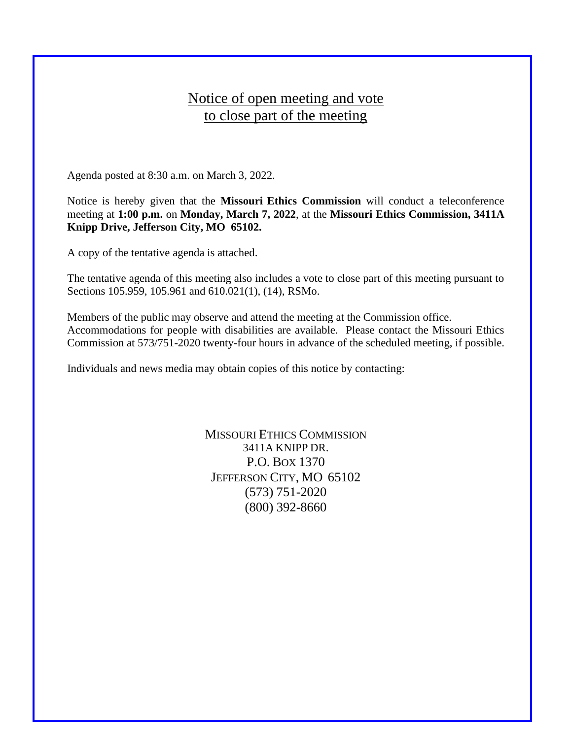## Notice of open meeting and vote to close part of the meeting

Agenda posted at 8:30 a.m. on March 3, 2022.

Notice is hereby given that the **Missouri Ethics Commission** will conduct a teleconference meeting at **1:00 p.m.** on **Monday, March 7, 2022**, at the **Missouri Ethics Commission, 3411A Knipp Drive, Jefferson City, MO 65102.**

A copy of the tentative agenda is attached.

The tentative agenda of this meeting also includes a vote to close part of this meeting pursuant to Sections 105.959, 105.961 and 610.021(1), (14), RSMo.

Members of the public may observe and attend the meeting at the Commission office. Accommodations for people with disabilities are available. Please contact the Missouri Ethics Commission at 573/751-2020 twenty-four hours in advance of the scheduled meeting, if possible.

Individuals and news media may obtain copies of this notice by contacting:

MISSOURI ETHICS COMMISSION 3411A KNIPP DR. P.O. BOX 1370 JEFFERSON CITY, MO 65102 (573) 751-2020 (800) 392-8660